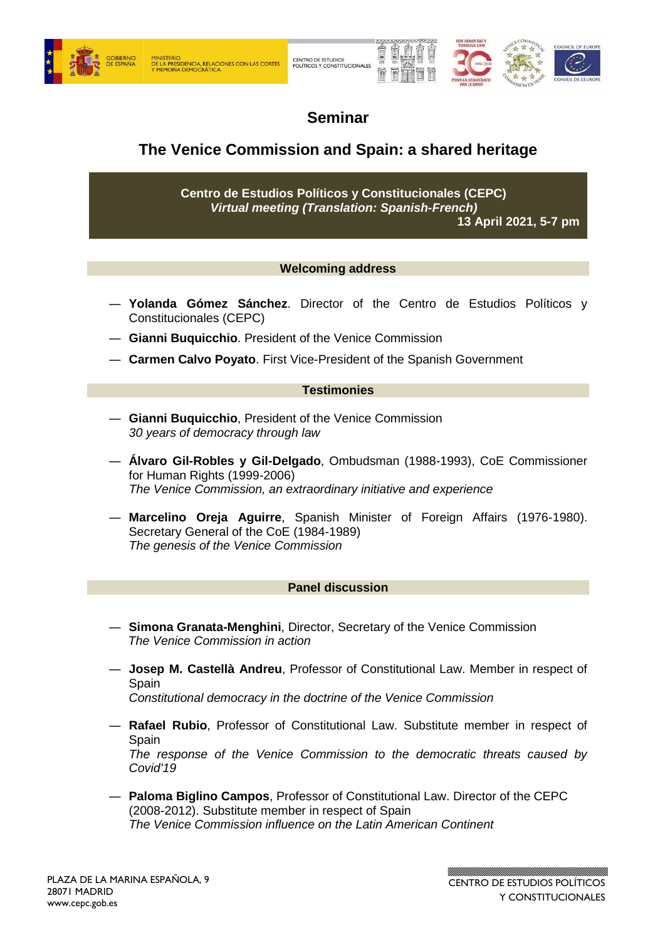



# **Seminar**

## **The Venice Commission and Spain: a shared heritage**

**Centro de Estudios Políticos y Constitucionales (CEPC)** *Virtual meeting (Translation: Spanish-French)*

**13 April 2021, 5-7 pm**

## **Welcoming address**

- **― Yolanda Gómez Sánchez**. Director of the Centro de Estudios Políticos y Constitucionales (CEPC)
- **― Gianni Buquicchio**. President of the Venice Commission
- **― Carmen Calvo Poyato**. First Vice-President of the Spanish Government

#### **Testimonies**

- ― **Gianni Buquicchio**, President of the Venice Commission *30 years of democracy through law*
- ― **Álvaro Gil-Robles y Gil-Delgado**, Ombudsman (1988-1993), CoE Commissioner for Human Rights (1999-2006) *The Venice Commission, an extraordinary initiative and experience*
- ― **Marcelino Oreja Aguirre**, Spanish Minister of Foreign Affairs (1976-1980). Secretary General of the CoE (1984-1989) *The genesis of the Venice Commission*

#### **Panel discussion**

- ― **Simona Granata-Menghini**, Director, Secretary of the Venice Commission *The Venice Commission in action*
- ― **Josep M. Castellà Andreu**, Professor of Constitutional Law. Member in respect of Spain

*Constitutional democracy in the doctrine of the Venice Commission*

- ― **Rafael Rubio**, Professor of Constitutional Law. Substitute member in respect of **Spain** *The response of the Venice Commission to the democratic threats caused by Covid'19*
- ― **Paloma Biglino Campos**, Professor of Constitutional Law. Director of the CEPC (2008-2012). Substitute member in respect of Spain *The Venice Commission influence on the Latin American Continent*